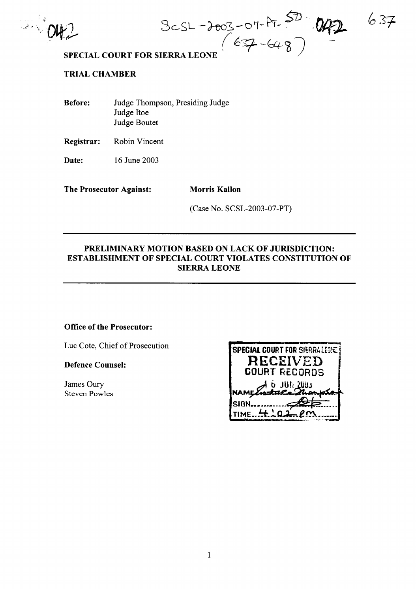

 $3.50$  ,  $3.51 - 3.003 - 0.7 - 1.50$  ,  $0.42$  $637$  $(637 - 648)$   $-$ 

# **SPECIAL COURT FOR SIERRA LEONE J**

# **TRIAL CHAMBER**

**Before:** Judge Thompson, Presiding Judge Judge Itoe Judge Boutet

**Registrar:** Robin Vincent

**Date:** 16 June 2003

**The Prosecutor Against: Morris Kallon**

(Case No. SCSL-2003-07-PT)

# **PRELIMINARY MOTION BASED ON LACK OF JURISDICTION: ESTABLISHMENT OF SPECIAL COURT VIOLATES CONSTITUTION OF SIERRA LEONE**

#### **Office of the Prosecutor:**

Luc Cote, Chief of Prosecution

#### **Defence Counsel:**

James Oury Steven Powles

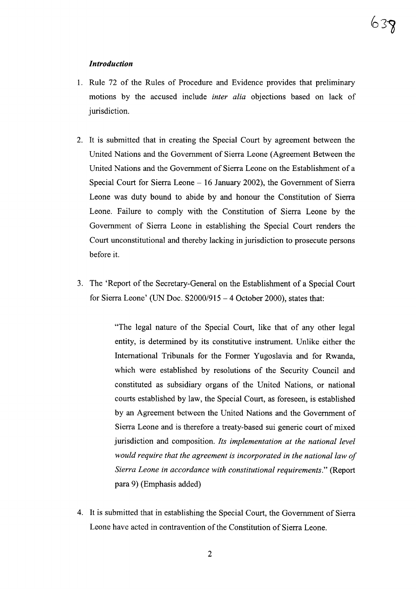# *Introduction*

- 1. Rule 72 of the Rules of Procedure and Evidence provides that preliminary motions by the accused include *inter alia* objections based on lack of jurisdiction.
- 2. It is submitted that in creating the Special Court by agreement between the United Nations and the Government of Sierra Leone (Agreement Between the United Nations and the Government of Sierra Leone on the Establishment of a Special Court for Sierra Leone - 16 January 2002), the Government of Sierra Leone was duty bound to abide by and honour the Constitution of Sierra Leone. Failure to comply with the Constitution of Sierra Leone by the Government of Sierra Leone in establishing the Special Court renders the Court unconstitutional and thereby lacking in jurisdiction to prosecute persons before it.
- 3. The 'Report of the Secretary-General on the Establishment of a Special Court for Sierra Leone' (UN Doc. *S2000/915* - 4 October 2000), states that:

"The legal nature of the Special Court, like that of any other legal entity, is determined by its constitutive instrument. Unlike either the International Tribunals for the Former Yugoslavia and for Rwanda, which were established by resolutions of the Security Council and constituted as subsidiary organs of the United Nations, or national courts established by law, the Special Court, as foreseen, is established by an Agreement between the United Nations and the Government of Sierra Leone and is therefore a treaty-based sui generic court of mixed jurisdiction and composition. *Its implementation at the national level would require that the agreement is incorporated in the national law of Sierra Leone in accordance with constitutional requirements."* (Report para 9) (Emphasis added)

4. It is submitted that in establishing the Special Court, the Government of Sierra Leone have acted in contravention of the Constitution of Sierra Leone.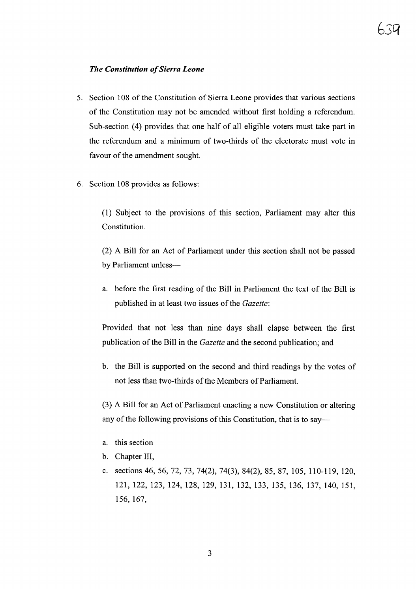## *The Constitution of Sierra Leone*

- 5. Section 108 of the Constitution of Sierra Leone provides that various sections of the Constitution may not be amended without first holding a referendum. Sub-section (4) provides that one half of all eligible voters must take part in the referendum and a minimum of two-thirds of the electorate must vote in favour of the amendment sought.
- 6. Section 108 provides as follows:

(1) Subject to the provisions of this section, Parliament may alter this Constitution.

(2) A Bill for an Act of Parliament under this section shall not be passed by Parliament unless-

a. before the first reading of the Bill in Parliament the text of the Bill is published in at least two issues of the *Gazette*:

Provided that not less than nine days shall elapse between the first publication of the Bill in the *Gazette* and the second publication; and

b. the Bill is supported on the second and third readings by the votes of not less than two-thirds of the Members of Parliament.

(3) A Bill for an Act of Parliament enacting a new Constitution or altering any of the following provisions of this Constitution, that is to say—

- a. this section
- b. Chapter III,
- c. sections 46, 56, 72, 73, 74(2), 74(3), 84(2), 85, 87, 105, 110-119, 120, 121, 122, 123, 124, 128, 129, 131, 132, 133, 135, 136, 137, 140, 151, 156, 167,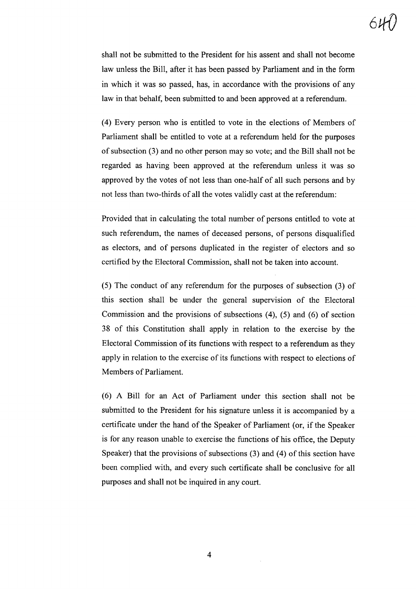shall not be submitted to the President for his assent and shall not become law unless the Bill, after it has been passed by Parliament and in the form in which it was so passed, has, in accordance with the provisions of any law in that behalf, been submitted to and been approved at a referendum.

(4) Every person who is entitled to vote in the elections of Members of Parliament shall be entitled to vote at a referendum held for the purposes of subsection (3) and no other person may so vote; and the Bill shall not be regarded as having been approved at the referendum unless it was so approved by the votes of not less than one-half of all such persons and by not less than two-thirds of all the votes validly cast at the referendum:

Provided that in calculating the total number of persons entitled to vote at such referendum, the names of deceased persons, of persons disqualified as electors, and of persons duplicated in the register of electors and so certified by the Electoral Commission, shall not be taken into account.

(5) The conduct of any referendum for the purposes of subsection (3) of this section shall be under the general supervision of the Electoral Commission and the provisions of subsections (4), (5) and (6) of section 38 of this Constitution shall apply in relation to the exercise by the Electoral Commission of its functions with respect to a referendum as they apply in relation to the exercise of its functions with respect to elections of Members of Parliament.

(6) A Bill for an Act of Parliament under this section shall not be submitted to the President for his signature unless it is accompanied by a certificate under the hand of the Speaker of Parliament (or, if the Speaker is for any reason unable to exercise the functions of his office, the Deputy Speaker) that the provisions of subsections (3) and (4) of this section have been complied with, and every such certificate shall be conclusive for all purposes and shall not be inquired in any court.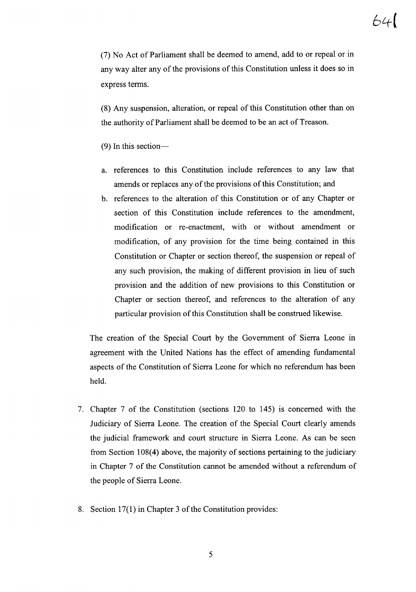(7) No Act of Parliament shall be deemed to amend, add to or repeal or in any way alter any of the provisions of this Constitution unless it does so in express terms.

(8) Any suspension, alteration, or repeal of this Constitution other than on the authority of Parliament shall be deemed to be an act of Treason.

 $(9)$  In this section-

- a. references to this Constitution include references to any law that amends or replaces any of the provisions of this Constitution; and
- b. references to the alteration of this Constitution or of any Chapter or section of this Constitution include references to the amendment, modification or re-enactment, with or without amendment or modification, of any provision for the time being contained in this Constitution or Chapter or section thereof, the suspension or repeal of any such provision, the making of different provision in lieu of such provision and the addition of new provisions to this Constitution or Chapter or section thereof, and references to the alteration of any particular provision of this Constitution shall be construed likewise.

The creation of the Special Court by the Government of Sierra Leone in agreement with the United Nations has the effect of amending fundamental aspects of the Constitution of Sierra Leone for which no referendum has been held.

- 7. Chapter 7 of the Constitution (sections 120 to 145) is concerned with the Judiciary of Sierra Leone. The creation of the Special Court clearly amends the judicial framework and court structure in Sierra Leone. As can be seen from Section 108(4) above, the majority of sections pertaining to the judiciary in Chapter 7 of the Constitution cannot be amended without a referendum of the people of Sierra Leone.
- 8. Section 17(1) in Chapter 3 of the Constitution provides: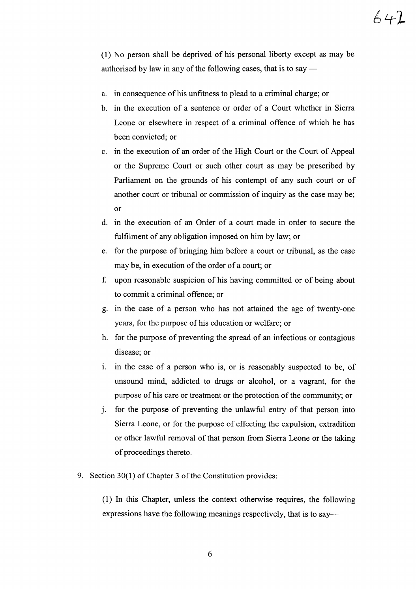(1) No person shall be deprived of his personal liberty except as may be authorised by law in any of the following cases, that is to say  $-$ 

- a. in consequence of his unfitness to plead to a criminal charge; or
- b. in the execution of a sentence or order of a Court whether in Sierra Leone or elsewhere in respect of a criminal offence of which he has been convicted; or
- c. in the execution of an order of the High Court or the Court of Appeal or the Supreme Court or such other court as may be prescribed by Parliament on the grounds of his contempt of any such court or of another court or tribunal or commission of inquiry as the case may be; or
- d. in the execution of an Order of a court made in order to secure the fulfilment of any obligation imposed on him by law; or
- e. for the purpose of bringing him before a court or tribunal, as the case may be, in execution of the order of a court; or
- f. upon reasonable suspicion of his having committed or of being about to commit a criminal offence; or
- g. in the case of a person who has not attained the age of twenty-one years, for the purpose of his education or welfare; or
- h. for the purpose of preventing the spread of an infectious or contagious disease; or
- in the case of a person who is, or is reasonably suspected to be, of unsound mind, addicted to drugs or alcohol, or a vagrant, for the purpose of his care or treatment or the protection of the community; or
- J. for the purpose of preventing the unlawful entry of that person into Sierra Leone, or for the purpose of effecting the expulsion, extradition or other lawful removal of that person from Sierra Leone or the taking of proceedings thereto.
- 9. Section 30(1) of Chapter 3 of the Constitution provides:

(1) In this Chapter, unless the context otherwise requires, the following expressions have the following meanings respectively, that is to say—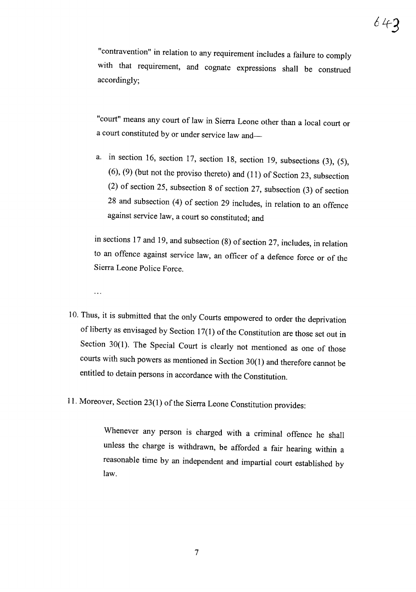"contravention" in relation to any requirement includes <sup>a</sup> failure to comply with that requirement, and cognate expressions shall be construed accordingly;

"court" means any court of law in Sierra Leone other than <sup>a</sup> local court or <sup>a</sup> court constituted by or under service law and-

a. in section 16, section 17, section 18, section 19, subsections  $(3)$ ,  $(5)$ , (6), (9) (but not the proviso thereto) and (11) of Section 23, subsection (2) of section 25, subsection <sup>8</sup> of section 27, subsection (3) of section <sup>28</sup> and subsection (4) of section <sup>29</sup> includes, in relation to an offence against service law, <sup>a</sup> court so constituted; and

in sections 17 and 19, and subsection  $(8)$  of section 27, includes, in relation to an offence against service law, an officer of <sup>a</sup> defence force or of the Sierra Leone Police Force.

. . .

- 10. Thus, it is submitted that the only Courts empowered to order the deprivation of liberty as envisaged by Section  $17(1)$  of the Constitution are those set out in Section 30(1). The Special Court is clearly not mentioned as one of those courts with such powers as mentioned in Section 30(1) and therefore cannot be entitled to detain persons in accordance with the Constitution.
- 11. Moreover, Section 23(1) of the Sierra Leone Constitution provides:

Whenever any person is charged with <sup>a</sup> criminal offence he shall unless the charge is withdrawn, be afforded <sup>a</sup> fair hearing within <sup>a</sup> reasonable time by an independent and impartial court established by law.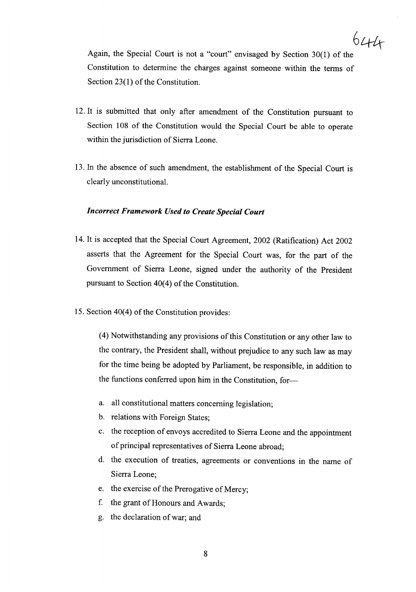$644$ 

Again, the Special Court is not a "court" envisaged by Section 30(1) of the Constitution to determine the charges against someone within the terms of Section  $23(1)$  of the Constitution.

- 12. It is submitted that only after amendment of the Constitution pursuant to Section 108 of the Constitution would the Special Court be able to operate within the jurisdiction of Sierra Leone.
- 13. In the absence of such amendment, the establishment of the Special Court is clearly unconstitutional.

#### *Incorrect Framework Used to Create Special Court*

- 14. It is accepted that the Special Court Agreement, 2002 (Ratification) Act 2002 asserts that the Agreement for the Special Court was, for the part of the Government of Sierra Leone, signed under the authority of the President pursuant to Section  $40(4)$  of the Constitution.
- 15. Section  $40(4)$  of the Constitution provides:

(4) Notwithstanding any provisions ofthis Constitution or any other law to the contrary, the President shall, without prejudice to any such law as may for the time being be adopted by Parliament, be responsible, in addition to the functions conferred upon him in the Constitution, for-

- a. all constitutional matters concerning legislation;
- b. relations with Foreign States;
- c. the reception of envoys accredited to Sierra Leone and the appointment of principal representatives of Sierra Leone abroad;
- d. the execution of treaties, agreements or conventions in the name of Sierra Leone;
- e. the exercise of the Prerogative of Mercy;
- f. the grant of Honours and Awards;
- g. the declaration ofwar; and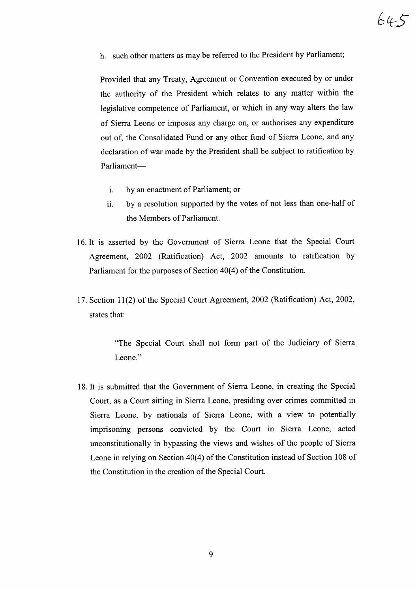h. such other matters as may be referred to the President by Parliament;

Provided that any Treaty, Agreement or Convention executed by or under the authority of the President which relates to any matter within the legislative competence of Parliament, or which in any way alters the law of Sierra Leone or imposes any charge on, or authorises any expenditure out of, the Consolidated Fund or any other fund of Sierra Leone, and any declaration of war made by the President shall be subject to ratification by Parliament-

- i. by an enactment of Parliament; or
- ii. by a resolution supported by the votes of not less than one-half of the Members of Parliament.
- 16. It is asserted by the Government of Sierra Leone that the Special Court Agreement, 2002 (Ratification) Act, 2002 amounts to ratification by Parliament for the purposes of Section 40(4) of the Constitution.
- 17. Section 11(2) of the Special Court Agreement, 2002 (Ratification) Act, 2002, states that:

"The Special Court shall not form part of the Judiciary of Sierra Leone."

18. It is submitted that the Government of Sierra Leone, in creating the Special Court, as a Court sitting in Sierra Leone, presiding over crimes committed in Sierra Leone, by nationals of Sierra Leone, with a view to potentially imprisoning persons convicted by the Court in Sierra Leone, acted unconstitutionally in bypassing the views and wishes of the people of Sierra Leone in relying on Section  $40(4)$  of the Constitution instead of Section 108 of the Constitution in the creation of the Special Court.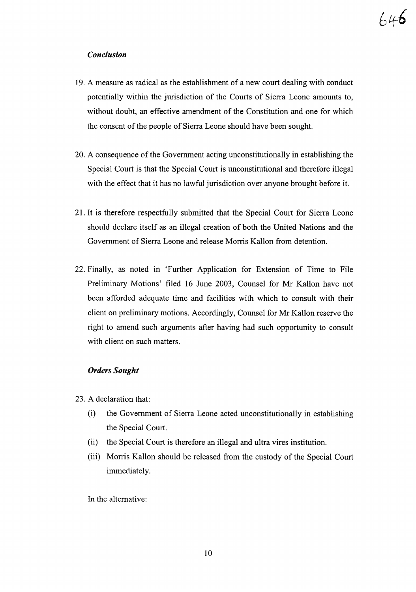## *Conclusion*

- 19. A measure as radical as the establishment of a new court dealing with conduct potentially within the jurisdiction of the Courts of Sierra Leone amounts to, without doubt, an effective amendment of the Constitution and one for which the consent of the people of Sierra Leone should have been sought.
- 20. A consequence of the Government acting unconstitutionally in establishing the Special Court is that the Special Court is unconstitutional and therefore illegal with the effect that it has no lawful jurisdiction over anyone brought before it.
- 21. It is therefore respectfully submitted that the Special Court for Sierra Leone should declare itself as an illegal creation of both the United Nations and the Government of Sierra Leone and release Morris Kallon from detention.
- 22. Finally, as noted in 'Further Application for Extension of Time to File Preliminary Motions' filed 16 June 2003, Counsel for Mr Kallon have not been afforded adequate time and facilities with which to consult with their client on preliminary motions. Accordingly, Counsel for Mr Kallon reserve the right to amend such arguments after having had such opportunity to consult with client on such matters.

## *Orders Sought*

- 23. A declaration that:
	- (i) the Government of Sierra Leone acted unconstitutionally in establishing the Special Court.
	- (ii) the Special Court is therefore an illegal and ultra vires institution.
	- (iii) Morris Kallon should be released from the custody of the Special Court immediately.

In the alternative: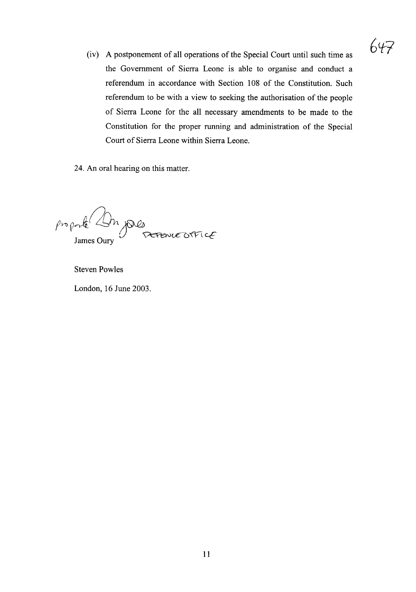- (iv) A postponement of all operations of the Special Court until such time as the Government of Sierra Leone is able to organise and conduct a referendum in accordance with Section 108 of the Constitution. Such referendum to be with a view to seeking the authorisation of the people of Sierra Leone for the all necessary amendments to be made to the Constitution for the proper running and administration of the Special Court of Sierra Leone within Sierra Leone.
- 24. An oral hearing on this matter.

proposté An joues James Oury

Steven Powles London, 16 June 2003.